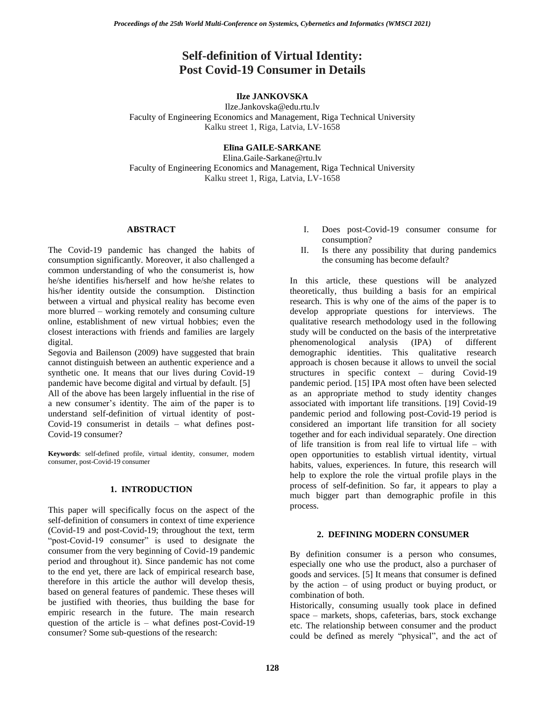# **Self-definition of Virtual Identity: Post Covid-19 Consumer in Details**

# **Ilze JANKOVSKA**

Ilze.Jankovska@edu.rtu.lv Faculty of Engineering Economics and Management, Riga Technical University Kalku street 1, Riga, Latvia, LV-1658

# **Elīna GAILE-SARKANE**

Elina.Gaile-Sarkane@rtu.lv Faculty of Engineering Economics and Management, Riga Technical University Kalku street 1, Riga, Latvia, LV-1658

#### **ABSTRACT**

The Covid-19 pandemic has changed the habits of consumption significantly. Moreover, it also challenged a common understanding of who the consumerist is, how he/she identifies his/herself and how he/she relates to his/her identity outside the consumption. Distinction between a virtual and physical reality has become even more blurred – working remotely and consuming culture online, establishment of new virtual hobbies; even the closest interactions with friends and families are largely digital.

Segovia and Bailenson (2009) have suggested that brain cannot distinguish between an authentic experience and a synthetic one. It means that our lives during Covid-19 pandemic have become digital and virtual by default. [5]

All of the above has been largely influential in the rise of a new consumer's identity. The aim of the paper is to understand self-definition of virtual identity of post-Covid-19 consumerist in details – what defines post-Covid-19 consumer?

**Keywords**: self-defined profile, virtual identity, consumer, modern consumer, post-Covid-19 consumer

# **1. INTRODUCTION**

This paper will specifically focus on the aspect of the self-definition of consumers in context of time experience (Covid-19 and post-Covid-19; throughout the text, term "post-Covid-19 consumer" is used to designate the consumer from the very beginning of Covid-19 pandemic period and throughout it). Since pandemic has not come to the end yet, there are lack of empirical research base, therefore in this article the author will develop thesis, based on general features of pandemic. These theses will be justified with theories, thus building the base for empiric research in the future. The main research question of the article is – what defines post-Covid-19 consumer? Some sub-questions of the research:

- I. Does post-Covid-19 consumer consume for consumption?
- II. Is there any possibility that during pandemics the consuming has become default?

In this article, these questions will be analyzed theoretically, thus building a basis for an empirical research. This is why one of the aims of the paper is to develop appropriate questions for interviews. The qualitative research methodology used in the following study will be conducted on the basis of the interpretative phenomenological analysis (IPA) of different demographic identities. This qualitative research approach is chosen because it allows to unveil the social structures in specific context – during Covid-19 pandemic period. [15] IPA most often have been selected as an appropriate method to study identity changes associated with important life transitions. [19] Covid-19 pandemic period and following post-Covid-19 period is considered an important life transition for all society together and for each individual separately. One direction of life transition is from real life to virtual life – with open opportunities to establish virtual identity, virtual habits, values, experiences. In future, this research will help to explore the role the virtual profile plays in the process of self-definition. So far, it appears to play a much bigger part than demographic profile in this process.

# **2. DEFINING MODERN CONSUMER**

By definition consumer is a person who consumes, especially one who use the product, also a purchaser of goods and services. [5] It means that consumer is defined by the action – of using product or buying product, or combination of both.

Historically, consuming usually took place in defined space – markets, shops, cafeterias, bars, stock exchange etc. The relationship between consumer and the product could be defined as merely "physical", and the act of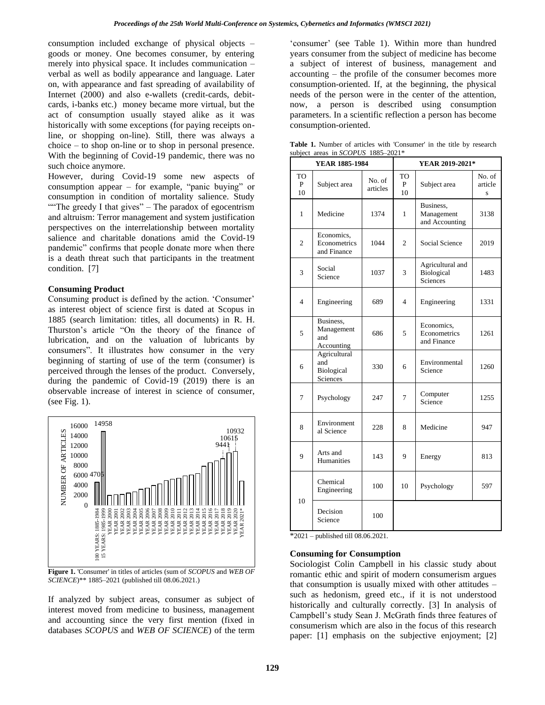consumption included exchange of physical objects – goods or money. One becomes consumer, by entering merely into physical space. It includes communication – verbal as well as bodily appearance and language. Later on, with appearance and fast spreading of availability of Internet (2000) and also e-wallets (credit-cards, debitcards, i-banks etc.) money became more virtual, but the act of consumption usually stayed alike as it was historically with some exceptions (for paying receipts online, or shopping on-line). Still, there was always a choice – to shop on-line or to shop in personal presence. With the beginning of Covid-19 pandemic, there was no such choice anymore.

However, during Covid-19 some new aspects of consumption appear – for example, "panic buying" or consumption in condition of mortality salience. Study "The greedy I that gives" – The paradox of egocentrism" and altruism: Terror management and system justification perspectives on the interrelationship between mortality salience and charitable donations amid the Covid-19 pandemic" confirms that people donate more when there is a death threat such that participants in the treatment condition. [7]

#### **Consuming Product**

Consuming product is defined by the action. 'Consumer' as interest object of science first is dated at Scopus in 1885 (search limitation: titles, all documents) in R. H. Thurston's article "On the theory of the finance of lubrication, and on the valuation of lubricants by consumers". It illustrates how consumer in the very beginning of starting of use of the term (consumer) is perceived through the lenses of the product. Conversely, during the pandemic of Covid-19 (2019) there is an observable increase of interest in science of consumer, (see Fig. 1).



**Figure 1.** 'Consumer' in titles of articles (sum of *SCOPUS* and *WEB OF SCIENCE*)\*\* 1885–2021 (published till 08.06.2021.)

If analyzed by subject areas, consumer as subject of interest moved from medicine to business, management and accounting since the very first mention (fixed in databases *SCOPUS* and *WEB OF SCIENCE*) of the term

'consumer' (see Table 1). Within more than hundred years consumer from the subject of medicine has become a subject of interest of business, management and accounting – the profile of the consumer becomes more consumption-oriented. If, at the beginning, the physical needs of the person were in the center of the attention, now, a person is described using consumption parameters. In a scientific reflection a person has become consumption-oriented.

| <b>Table 1.</b> Number of articles with 'Consumer' in the title by research<br>subject areas in SCOPUS 1885-2021* |                |  |                 |  |  |  |  |  |  |
|-------------------------------------------------------------------------------------------------------------------|----------------|--|-----------------|--|--|--|--|--|--|
|                                                                                                                   | YEAR 1885-1984 |  | YEAR 2019-2021* |  |  |  |  |  |  |
|                                                                                                                   |                |  |                 |  |  |  |  |  |  |

|                | YEAR 1885-1984                                |                    |                | YEAR 2019-2021*                            |                        |  |
|----------------|-----------------------------------------------|--------------------|----------------|--------------------------------------------|------------------------|--|
| TO<br>P<br>10  | Subject area                                  | No. of<br>articles | TO<br>P<br>10  | Subject area                               | No. of<br>article<br>S |  |
| 1              | Medicine                                      | 1374               | 1              | Business,<br>Management<br>and Accounting  | 3138                   |  |
| $\overline{c}$ | Economics,<br>Econometrics<br>and Finance     | 1044               | $\overline{c}$ | <b>Social Science</b>                      | 2019                   |  |
| 3              | Social<br>Science                             | 1037               | 3              | Agricultural and<br>Biological<br>Sciences | 1483                   |  |
| $\overline{4}$ | Engineering                                   | 689                | 4              | Engineering                                | 1331                   |  |
| 5              | Business,<br>Management<br>and<br>Accounting  | 686                | 5              | Economics,<br>Econometrics<br>and Finance  | 1261                   |  |
| 6              | Agricultural<br>and<br>Biological<br>Sciences | 330                | 6              | Environmental<br>Science                   | 1260                   |  |
| 7              | Psychology                                    | 247                | 7              | Computer<br>Science                        | 1255                   |  |
| 8              | Environment<br>al Science                     | 228                | 8              | Medicine                                   | 947                    |  |
| 9              | Arts and<br>Humanities                        | 143                | 9              | Energy                                     | 813                    |  |
| 10             | Chemical<br>Engineering                       | 100                | 10             | Psychology                                 | 597                    |  |
|                | Decision<br>Science                           | 100                |                |                                            |                        |  |

\*2021 – published till 08.06.2021.

#### **Consuming for Consumption**

Sociologist Colin Campbell in his classic study about romantic ethic and spirit of modern consumerism argues that consumption is usually mixed with other attitudes – such as hedonism, greed etc., if it is not understood historically and culturally correctly. [3] In analysis of Campbell's study Sean J. McGrath finds three features of consumerism which are also in the focus of this research paper: [1] emphasis on the subjective enjoyment; [2]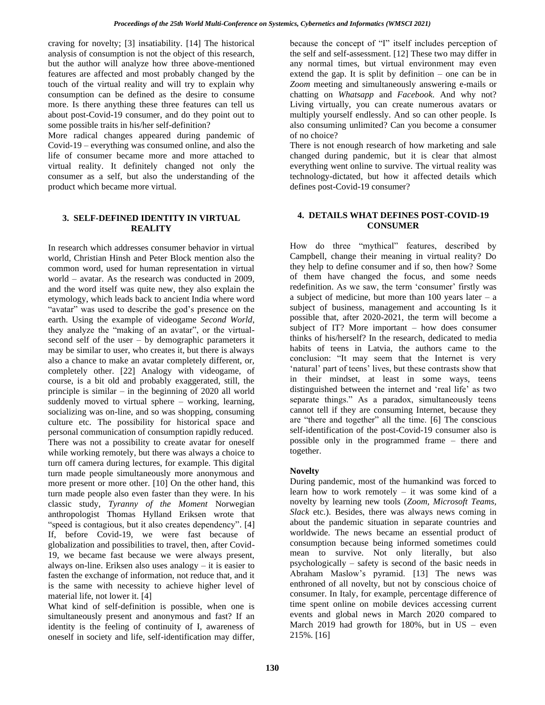craving for novelty; [3] insatiability. [14] The historical analysis of consumption is not the object of this research, but the author will analyze how three above-mentioned features are affected and most probably changed by the touch of the virtual reality and will try to explain why consumption can be defined as the desire to consume more. Is there anything these three features can tell us about post-Covid-19 consumer, and do they point out to some possible traits in his/her self-definition?

More radical changes appeared during pandemic of Covid-19 – everything was consumed online, and also the life of consumer became more and more attached to virtual reality. It definitely changed not only the consumer as a self, but also the understanding of the product which became more virtual.

# **3. SELF-DEFINED IDENTITY IN VIRTUAL REALITY**

In research which addresses consumer behavior in virtual world, Christian Hinsh and Peter Block mention also the common word, used for human representation in virtual world – avatar. As the research was conducted in 2009, and the word itself was quite new, they also explain the etymology, which leads back to ancient India where word "avatar" was used to describe the god's presence on the earth. Using the example of videogame *Second World*, they analyze the "making of an avatar", or the virtualsecond self of the user – by demographic parameters it may be similar to user, who creates it, but there is always also a chance to make an avatar completely different, or, completely other. [22] Analogy with videogame, of course, is a bit old and probably exaggerated, still, the principle is similar – in the beginning of 2020 all world suddenly moved to virtual sphere – working, learning, socializing was on-line, and so was shopping, consuming culture etc. The possibility for historical space and personal communication of consumption rapidly reduced. There was not a possibility to create avatar for oneself while working remotely, but there was always a choice to turn off camera during lectures, for example. This digital turn made people simultaneously more anonymous and more present or more other. [10] On the other hand, this turn made people also even faster than they were. In his classic study, *Tyranny of the Moment* Norwegian anthropologist Thomas Hylland Eriksen wrote that "speed is contagious, but it also creates dependency". [4] If, before Covid-19, we were fast because of globalization and possibilities to travel, then, after Covid-19, we became fast because we were always present, always on-line. Eriksen also uses analogy – it is easier to fasten the exchange of information, not reduce that, and it is the same with necessity to achieve higher level of material life, not lower it. [4]

What kind of self-definition is possible, when one is simultaneously present and anonymous and fast? If an identity is the feeling of continuity of I, awareness of oneself in society and life, self-identification may differ,

because the concept of "I" itself includes perception of the self and self-assessment. [12] These two may differ in any normal times, but virtual environment may even extend the gap. It is split by definition – one can be in *Zoom* meeting and simultaneously answering e-mails or chatting on *Whatsapp* and *Facebook*. And why not? Living virtually, you can create numerous avatars or multiply yourself endlessly. And so can other people. Is also consuming unlimited? Can you become a consumer of no choice?

There is not enough research of how marketing and sale changed during pandemic, but it is clear that almost everything went online to survive. The virtual reality was technology-dictated, but how it affected details which defines post-Covid-19 consumer?

# **4. DETAILS WHAT DEFINES POST-COVID-19 CONSUMER**

How do three "mythical" features, described by Campbell, change their meaning in virtual reality? Do they help to define consumer and if so, then how? Some of them have changed the focus, and some needs redefinition. As we saw, the term 'consumer' firstly was a subject of medicine, but more than 100 years later  $-$  a subject of business, management and accounting Is it possible that, after 2020-2021, the term will become a subject of IT? More important – how does consumer thinks of his/herself? In the research, dedicated to media habits of teens in Latvia, the authors came to the conclusion: "It may seem that the Internet is very 'natural' part of teens' lives, but these contrasts show that in their mindset, at least in some ways, teens distinguished between the internet and 'real life' as two separate things." As a paradox, simultaneously teens cannot tell if they are consuming Internet, because they are "there and together" all the time. [6] The conscious self-identification of the post-Covid-19 consumer also is possible only in the programmed frame – there and together.

# **Novelty**

During pandemic, most of the humankind was forced to learn how to work remotely – it was some kind of a novelty by learning new tools (*Zoom, Microsoft Teams, Slack* etc.). Besides, there was always news coming in about the pandemic situation in separate countries and worldwide. The news became an essential product of consumption because being informed sometimes could mean to survive. Not only literally, but also psychologically – safety is second of the basic needs in Abraham Maslow's pyramid. [13] The news was enthroned of all novelty, but not by conscious choice of consumer. In Italy, for example, percentage difference of time spent online on mobile devices accessing current events and global news in March 2020 compared to March 2019 had growth for  $180\%$ , but in US – even 215%. [16]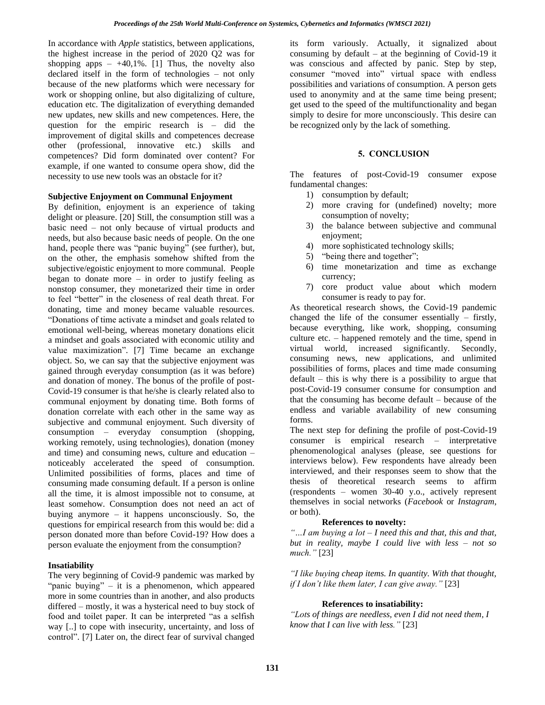In accordance with *Apple* statistics, between applications, the highest increase in the period of 2020 Q2 was for shopping apps  $- +40,1\%$ . [1] Thus, the novelty also declared itself in the form of technologies – not only because of the new platforms which were necessary for work or shopping online, but also digitalizing of culture. education etc. The digitalization of everything demanded new updates, new skills and new competences. Here, the question for the empiric research is – did the improvement of digital skills and competences decrease other (professional, innovative etc.) skills and competences? Did form dominated over content? For example, if one wanted to consume opera show, did the necessity to use new tools was an obstacle for it?

#### **Subjective Enjoyment on Communal Enjoyment**

By definition, enjoyment is an experience of taking delight or pleasure. [20] Still, the consumption still was a basic need – not only because of virtual products and needs, but also because basic needs of people. On the one hand, people there was "panic buying" (see further), but, on the other, the emphasis somehow shifted from the subjective/egoistic enjoyment to more communal. People began to donate more – in order to justify feeling as nonstop consumer, they monetarized their time in order to feel "better" in the closeness of real death threat. For donating, time and money became valuable resources. "Donations of time activate a mindset and goals related to emotional well-being, whereas monetary donations elicit a mindset and goals associated with economic utility and value maximization". [7] Time became an exchange object. So, we can say that the subjective enjoyment was gained through everyday consumption (as it was before) and donation of money. The bonus of the profile of post-Covid-19 consumer is that he/she is clearly related also to communal enjoyment by donating time. Both forms of donation correlate with each other in the same way as subjective and communal enjoyment. Such diversity of consumption – everyday consumption (shopping, working remotely, using technologies), donation (money and time) and consuming news, culture and education – noticeably accelerated the speed of consumption. Unlimited possibilities of forms, places and time of consuming made consuming default. If a person is online all the time, it is almost impossible not to consume, at least somehow. Consumption does not need an act of buying anymore – it happens unconsciously. So, the questions for empirical research from this would be: did a person donated more than before Covid-19? How does a person evaluate the enjoyment from the consumption?

# **Insatiability**

The very beginning of Covid-9 pandemic was marked by "panic buying" – it is a phenomenon, which appeared more in some countries than in another, and also products differed – mostly, it was a hysterical need to buy stock of food and toilet paper. It can be interpreted "as a selfish way [..] to cope with insecurity, uncertainty, and loss of control". [7] Later on, the direct fear of survival changed its form variously. Actually, it signalized about consuming by default – at the beginning of Covid-19 it was conscious and affected by panic. Step by step, consumer "moved into" virtual space with endless possibilities and variations of consumption. A person gets used to anonymity and at the same time being present; get used to the speed of the multifunctionality and began simply to desire for more unconsciously. This desire can be recognized only by the lack of something.

#### **5. CONCLUSION**

The features of post-Covid-19 consumer expose fundamental changes:

- 1) consumption by default;
- 2) more craving for (undefined) novelty; more consumption of novelty;
- 3) the balance between subjective and communal enjoyment;
- 4) more sophisticated technology skills;
- 5) "being there and together";
- 6) time monetarization and time as exchange currency;
- 7) core product value about which modern consumer is ready to pay for.

As theoretical research shows, the Covid-19 pandemic changed the life of the consumer essentially – firstly, because everything, like work, shopping, consuming culture etc. – happened remotely and the time, spend in virtual world, increased significantly. Secondly, consuming news, new applications, and unlimited possibilities of forms, places and time made consuming default – this is why there is a possibility to argue that post-Covid-19 consumer consume for consumption and that the consuming has become default – because of the endless and variable availability of new consuming forms.

The next step for defining the profile of post-Covid-19 consumer is empirical research – interpretative phenomenological analyses (please, see questions for interviews below). Few respondents have already been interviewed, and their responses seem to show that the thesis of theoretical research seems to affirm (respondents – women 30-40 y.o., actively represent themselves in social networks (*Facebook* or *Instagram*, or both).

# **References to novelty:**

*"…I am buying a lot – I need this and that, this and that, but in reality, maybe I could live with less – not so much."* [23]

*"I like buying cheap items. In quantity. With that thought, if I don't like them later, I can give away."* [23]

# **References to insatiability:**

*"Lots of things are needless, even I did not need them, I know that I can live with less."* [23]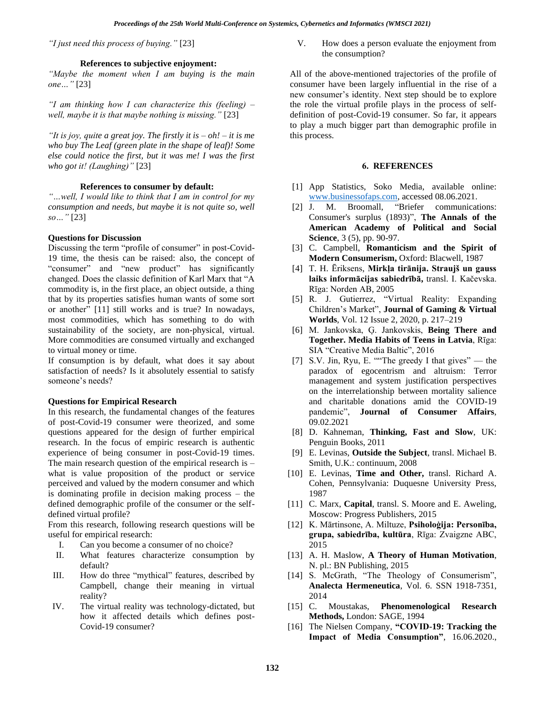*"I just need this process of buying."* [23]

### **References to subjective enjoyment:**

*"Maybe the moment when I am buying is the main one…"* [23]

*"I am thinking how I can characterize this (feeling) – well, maybe it is that maybe nothing is missing."* [23]

*"It is joy, quite a great joy. The firstly it is – oh! – it is me who buy The Leaf (green plate in the shape of leaf)! Some else could notice the first, but it was me! I was the first who got it! (Laughing)"* [23] **6. REFERENCES**

#### **References to consumer by default:**

*"…well, I would like to think that I am in control for my consumption and needs, but maybe it is not quite so, well so…"* [23]

#### **Questions for Discussion**

Discussing the term "profile of consumer" in post-Covid-19 time, the thesis can be raised: also, the concept of "consumer" and "new product" has significantly changed. Does the classic definition of Karl Marx that "A commodity is, in the first place, an object outside, a thing that by its properties satisfies human wants of some sort or another" [11] still works and is true? In nowadays, most commodities, which has something to do with sustainability of the society, are non-physical, virtual. More commodities are consumed virtually and exchanged to virtual money or time.

If consumption is by default, what does it say about satisfaction of needs? Is it absolutely essential to satisfy someone's needs?

#### **Questions for Empirical Research**

In this research, the fundamental changes of the features of post-Covid-19 consumer were theorized, and some questions appeared for the design of further empirical research. In the focus of empiric research is authentic experience of being consumer in post-Covid-19 times. The main research question of the empirical research is – what is value proposition of the product or service perceived and valued by the modern consumer and which is dominating profile in decision making process – the defined demographic profile of the consumer or the selfdefined virtual profile?

From this research, following research questions will be useful for empirical research:

- I. Can you become a consumer of no choice?
- II. What features characterize consumption by default?
- III. How do three "mythical" features, described by Campbell, change their meaning in virtual reality?
- IV. The virtual reality was technology-dictated, but how it affected details which defines post-Covid-19 consumer?

V. How does a person evaluate the enjoyment from the consumption?

All of the above-mentioned trajectories of the profile of consumer have been largely influential in the rise of a new consumer's identity. Next step should be to explore the role the virtual profile plays in the process of selfdefinition of post-Covid-19 consumer. So far, it appears to play a much bigger part than demographic profile in this process.

- [1] App Statistics, Soko Media, available online: [www.businessofaps.com,](http://www.businessofaps.com/) accessed 08.06.2021.
- [2] J. M. Broomall, "Briefer communications: Consumer's surplus (1893)", **The Annals of the American Academy of Political and Social Science**, 3 (5), pp. 90-97.
- [3] C. Campbell, **Romanticism and the Spirit of Modern Consumerism,** Oxford: Blacwell, 1987
- [4] T. H. Ēriksens, **Mirkļa tirānija. Straujš un gauss laiks informācijas sabiedrībā,** transl. I. Kačevska. Rīga: Norden AB, 2005
- [5] R. J. Gutierrez, "Virtual Reality: Expanding Children's Market", **Journal of Gaming & Virtual Worlds**, Vol. 12 Issue 2, 2020, p. 217–219
- [6] M. Jankovska, Ģ. Jankovskis, **Being There and Together. Media Habits of Teens in Latvia**, Rīga: SIA "Creative Media Baltic", 2016
- [7] S.V. Jin, Ryu, E. ""The greedy I that gives" the paradox of egocentrism and altruism: Terror management and system justification perspectives on the interrelationship between mortality salience and charitable donations amid the COVID-19 pandemic", **Journal of Consumer Affairs**, 09.02.2021
- [8] D. Kahneman, **Thinking, Fast and Slow**, UK: Penguin Books, 2011
- [9] E. Levinas, **Outside the Subject**, transl. Michael B. Smith, U.K.: continuum, 2008
- [10] E. Levinas, **Time and Other,** transl. Richard A. Cohen, Pennsylvania: Duquesne University Press, 1987
- [11] C. Marx, **Capital**, transl. S. Moore and E. Aweling, Moscow: Progress Publishers, 2015
- [12] K. Mārtinsone, A. Miltuze, **Psiholoģija: Personība, grupa, sabiedrība, kultūra**, Rīga: Zvaigzne ABC, 2015
- [13] A. H. Maslow, **A Theory of Human Motivation**, N. pl.: BN Publishing, 2015
- [14] S. McGrath, "The Theology of Consumerism", **Analecta Hermeneutica**, Vol. 6. SSN 1918-7351, 2014
- [15] C. Moustakas, **Phenomenological Research Methods,** London: SAGE, 1994
- [16] The Nielsen Company, **"COVID-19: Tracking the Impact of Media Consumption"**, 16.06.2020.,